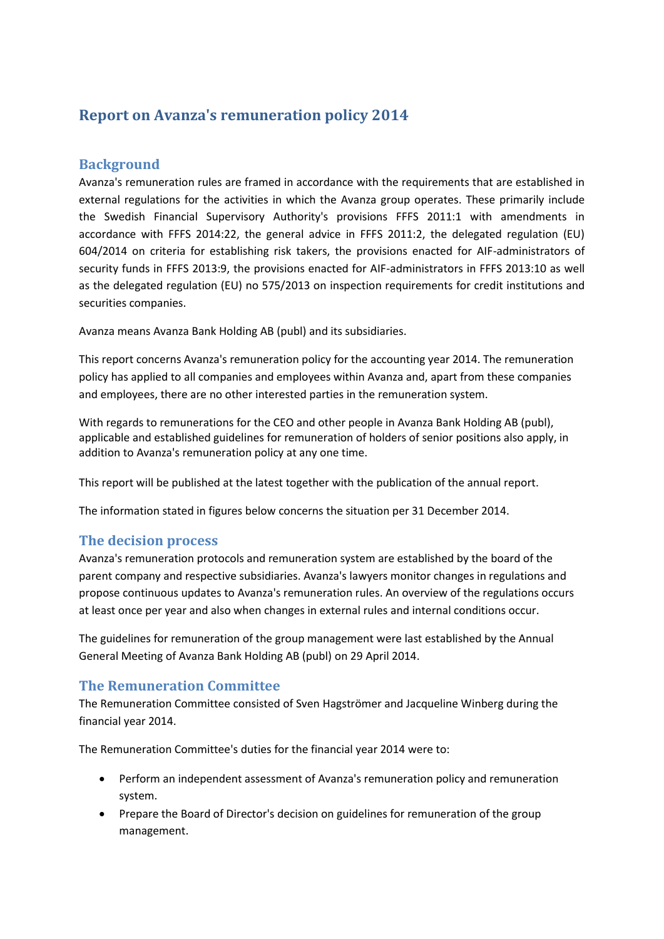# **Report on Avanza's remuneration policy 2014**

#### **Background**

Avanza's remuneration rules are framed in accordance with the requirements that are established in external regulations for the activities in which the Avanza group operates. These primarily include the Swedish Financial Supervisory Authority's provisions FFFS 2011:1 with amendments in accordance with FFFS 2014:22, the general advice in FFFS 2011:2, the delegated regulation (EU) 604/2014 on criteria for establishing risk takers, the provisions enacted for AIF-administrators of security funds in FFFS 2013:9, the provisions enacted for AIF-administrators in FFFS 2013:10 as well as the delegated regulation (EU) no 575/2013 on inspection requirements for credit institutions and securities companies.

Avanza means Avanza Bank Holding AB (publ) and its subsidiaries.

This report concerns Avanza's remuneration policy for the accounting year 2014. The remuneration policy has applied to all companies and employees within Avanza and, apart from these companies and employees, there are no other interested parties in the remuneration system.

With regards to remunerations for the CEO and other people in Avanza Bank Holding AB (publ), applicable and established guidelines for remuneration of holders of senior positions also apply, in addition to Avanza's remuneration policy at any one time.

This report will be published at the latest together with the publication of the annual report.

The information stated in figures below concerns the situation per 31 December 2014.

## **The decision process**

Avanza's remuneration protocols and remuneration system are established by the board of the parent company and respective subsidiaries. Avanza's lawyers monitor changes in regulations and propose continuous updates to Avanza's remuneration rules. An overview of the regulations occurs at least once per year and also when changes in external rules and internal conditions occur.

The guidelines for remuneration of the group management were last established by the Annual General Meeting of Avanza Bank Holding AB (publ) on 29 April 2014.

#### **The Remuneration Committee**

The Remuneration Committee consisted of Sven Hagströmer and Jacqueline Winberg during the financial year 2014.

The Remuneration Committee's duties for the financial year 2014 were to:

- Perform an independent assessment of Avanza's remuneration policy and remuneration system.
- Prepare the Board of Director's decision on guidelines for remuneration of the group management.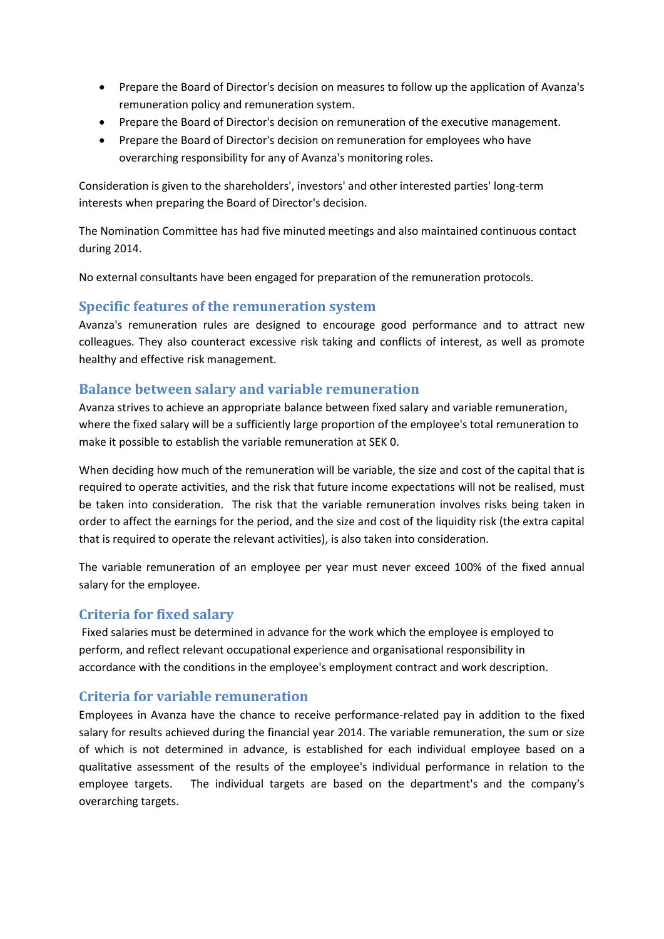- Prepare the Board of Director's decision on measures to follow up the application of Avanza's remuneration policy and remuneration system.
- Prepare the Board of Director's decision on remuneration of the executive management.
- Prepare the Board of Director's decision on remuneration for employees who have overarching responsibility for any of Avanza's monitoring roles.

Consideration is given to the shareholders', investors' and other interested parties' long-term interests when preparing the Board of Director's decision.

The Nomination Committee has had five minuted meetings and also maintained continuous contact during 2014.

No external consultants have been engaged for preparation of the remuneration protocols.

#### **Specific features of the remuneration system**

Avanza's remuneration rules are designed to encourage good performance and to attract new colleagues. They also counteract excessive risk taking and conflicts of interest, as well as promote healthy and effective risk management.

#### **Balance between salary and variable remuneration**

Avanza strives to achieve an appropriate balance between fixed salary and variable remuneration, where the fixed salary will be a sufficiently large proportion of the employee's total remuneration to make it possible to establish the variable remuneration at SEK 0.

When deciding how much of the remuneration will be variable, the size and cost of the capital that is required to operate activities, and the risk that future income expectations will not be realised, must be taken into consideration. The risk that the variable remuneration involves risks being taken in order to affect the earnings for the period, and the size and cost of the liquidity risk (the extra capital that is required to operate the relevant activities), is also taken into consideration.

The variable remuneration of an employee per year must never exceed 100% of the fixed annual salary for the employee.

#### **Criteria for fixed salary**

Fixed salaries must be determined in advance for the work which the employee is employed to perform, and reflect relevant occupational experience and organisational responsibility in accordance with the conditions in the employee's employment contract and work description.

## **Criteria for variable remuneration**

Employees in Avanza have the chance to receive performance-related pay in addition to the fixed salary for results achieved during the financial year 2014. The variable remuneration, the sum or size of which is not determined in advance, is established for each individual employee based on a qualitative assessment of the results of the employee's individual performance in relation to the employee targets. The individual targets are based on the department's and the company's overarching targets.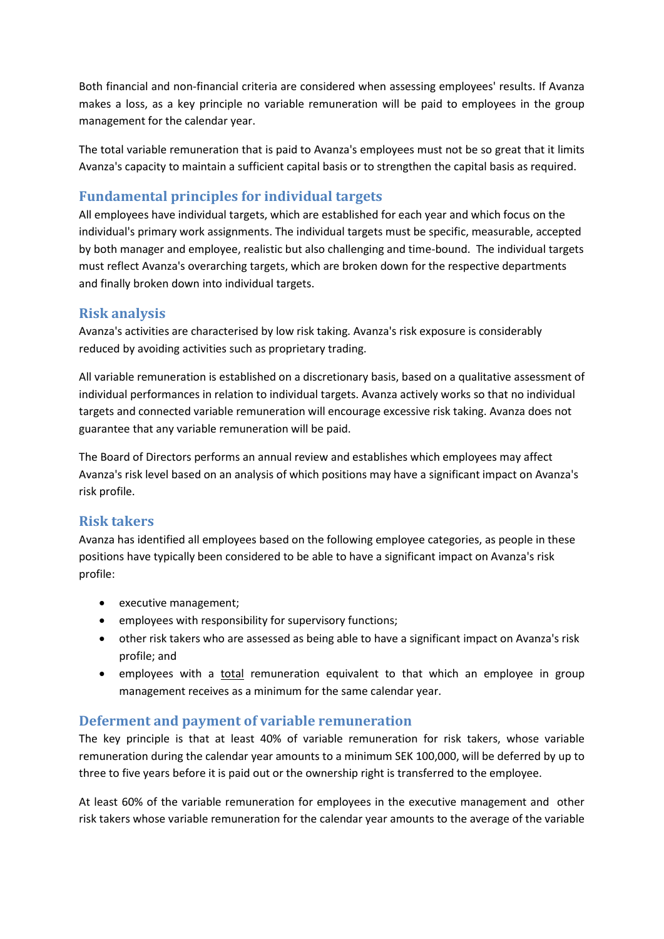Both financial and non-financial criteria are considered when assessing employees' results. If Avanza makes a loss, as a key principle no variable remuneration will be paid to employees in the group management for the calendar year.

The total variable remuneration that is paid to Avanza's employees must not be so great that it limits Avanza's capacity to maintain a sufficient capital basis or to strengthen the capital basis as required.

## **Fundamental principles for individual targets**

All employees have individual targets, which are established for each year and which focus on the individual's primary work assignments. The individual targets must be specific, measurable, accepted by both manager and employee, realistic but also challenging and time-bound. The individual targets must reflect Avanza's overarching targets, which are broken down for the respective departments and finally broken down into individual targets.

## **Risk analysis**

Avanza's activities are characterised by low risk taking. Avanza's risk exposure is considerably reduced by avoiding activities such as proprietary trading.

All variable remuneration is established on a discretionary basis, based on a qualitative assessment of individual performances in relation to individual targets. Avanza actively works so that no individual targets and connected variable remuneration will encourage excessive risk taking. Avanza does not guarantee that any variable remuneration will be paid.

The Board of Directors performs an annual review and establishes which employees may affect Avanza's risk level based on an analysis of which positions may have a significant impact on Avanza's risk profile.

#### **Risk takers**

Avanza has identified all employees based on the following employee categories, as people in these positions have typically been considered to be able to have a significant impact on Avanza's risk profile:

- executive management;
- employees with responsibility for supervisory functions;
- other risk takers who are assessed as being able to have a significant impact on Avanza's risk profile; and
- employees with a *total* remuneration equivalent to that which an employee in group management receives as a minimum for the same calendar year.

## **Deferment and payment of variable remuneration**

The key principle is that at least 40% of variable remuneration for risk takers, whose variable remuneration during the calendar year amounts to a minimum SEK 100,000, will be deferred by up to three to five years before it is paid out or the ownership right is transferred to the employee.

At least 60% of the variable remuneration for employees in the executive management and other risk takers whose variable remuneration for the calendar year amounts to the average of the variable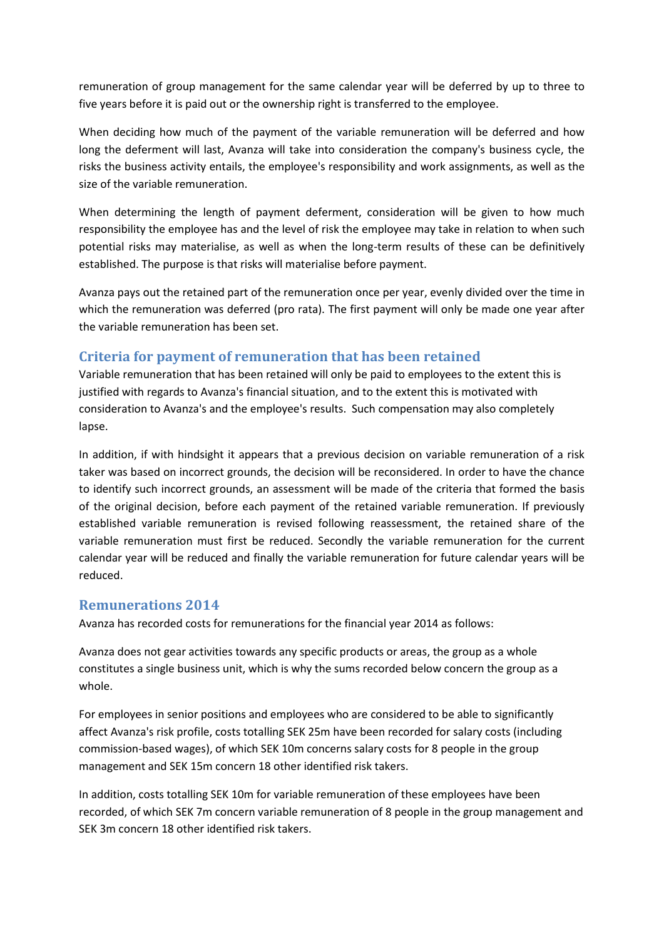remuneration of group management for the same calendar year will be deferred by up to three to five years before it is paid out or the ownership right is transferred to the employee.

When deciding how much of the payment of the variable remuneration will be deferred and how long the deferment will last, Avanza will take into consideration the company's business cycle, the risks the business activity entails, the employee's responsibility and work assignments, as well as the size of the variable remuneration.

When determining the length of payment deferment, consideration will be given to how much responsibility the employee has and the level of risk the employee may take in relation to when such potential risks may materialise, as well as when the long-term results of these can be definitively established. The purpose is that risks will materialise before payment.

Avanza pays out the retained part of the remuneration once per year, evenly divided over the time in which the remuneration was deferred (pro rata). The first payment will only be made one year after the variable remuneration has been set.

## **Criteria for payment of remuneration that has been retained**

Variable remuneration that has been retained will only be paid to employees to the extent this is justified with regards to Avanza's financial situation, and to the extent this is motivated with consideration to Avanza's and the employee's results. Such compensation may also completely lapse.

In addition, if with hindsight it appears that a previous decision on variable remuneration of a risk taker was based on incorrect grounds, the decision will be reconsidered. In order to have the chance to identify such incorrect grounds, an assessment will be made of the criteria that formed the basis of the original decision, before each payment of the retained variable remuneration. If previously established variable remuneration is revised following reassessment, the retained share of the variable remuneration must first be reduced. Secondly the variable remuneration for the current calendar year will be reduced and finally the variable remuneration for future calendar years will be reduced.

#### **Remunerations 2014**

Avanza has recorded costs for remunerations for the financial year 2014 as follows:

Avanza does not gear activities towards any specific products or areas, the group as a whole constitutes a single business unit, which is why the sums recorded below concern the group as a whole.

For employees in senior positions and employees who are considered to be able to significantly affect Avanza's risk profile, costs totalling SEK 25m have been recorded for salary costs (including commission-based wages), of which SEK 10m concerns salary costs for 8 people in the group management and SEK 15m concern 18 other identified risk takers.

In addition, costs totalling SEK 10m for variable remuneration of these employees have been recorded, of which SEK 7m concern variable remuneration of 8 people in the group management and SEK 3m concern 18 other identified risk takers.